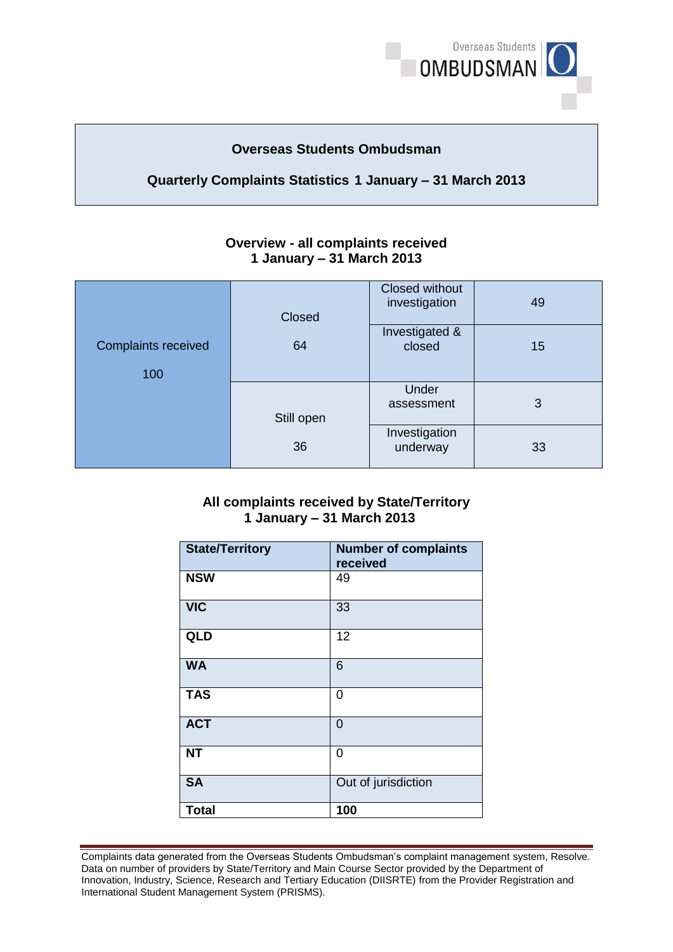

## **Overseas Students Ombudsman**

# **Quarterly Complaints Statistics 1 January – 31 March 2013**

| <b>Overview - all complaints received</b> |
|-------------------------------------------|
| 1 January – 31 March 2013                 |

| <b>Complaints received</b><br>100 | Closed     | <b>Closed without</b><br>investigation | 49 |
|-----------------------------------|------------|----------------------------------------|----|
|                                   | 64         | Investigated &<br>closed               | 15 |
|                                   | Still open | Under<br>assessment                    | 3  |
|                                   | 36         | Investigation<br>underway              | 33 |

## **1 January – 31 March 2013 All complaints received by State/Territory**

| <b>State/Territory</b> | <b>Number of complaints</b><br>received |
|------------------------|-----------------------------------------|
| <b>NSW</b>             | 49                                      |
| <b>VIC</b>             | 33                                      |
| <b>QLD</b>             | 12                                      |
| <b>WA</b>              | 6                                       |
| <b>TAS</b>             | $\overline{0}$                          |
| <b>ACT</b>             | $\overline{0}$                          |
| <b>NT</b>              | $\overline{0}$                          |
| <b>SA</b>              | Out of jurisdiction                     |
| <b>Total</b>           | 100                                     |

Complaints data generated from the Overseas Students Ombudsman's complaint management system, Resolve. Complaints data generated from the Overseas Students Ombudsman's complaint management system, Resolve.<br>Data on number of providers by State/Territory and Main Course Sector provided by the Department of Innovation, Industry, Science, Research and Tertiary Education (DIISRTE) from the Provider Registration and International Student Management System (PRISMS).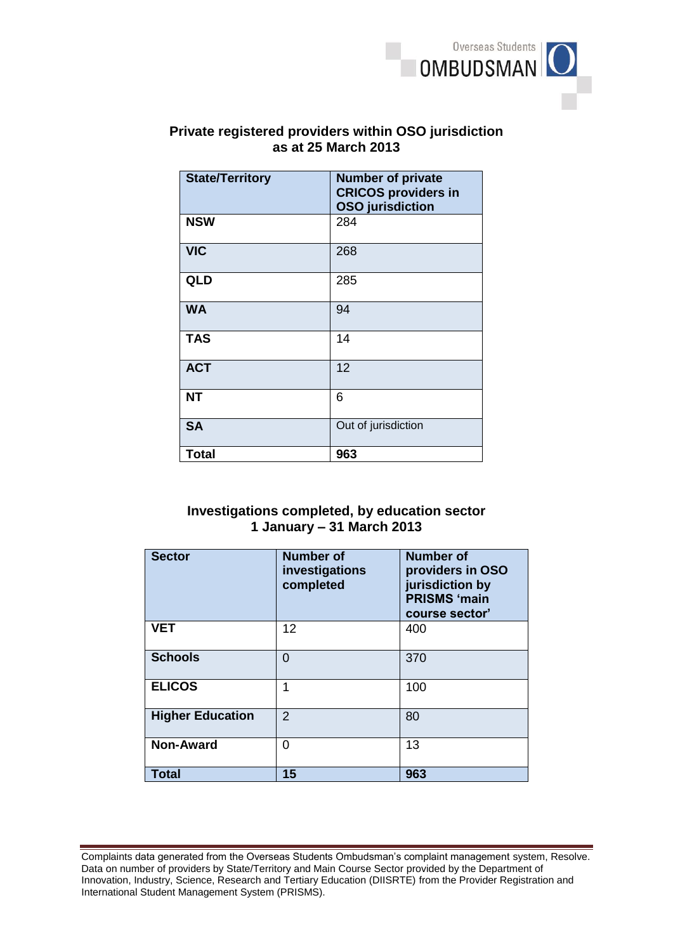

# **Private registered providers within OSO jurisdiction as at 25 March 2013**

| <b>State/Territory</b> | <b>Number of private</b><br><b>CRICOS providers in</b><br><b>OSO</b> jurisdiction |
|------------------------|-----------------------------------------------------------------------------------|
| <b>NSW</b>             | 284                                                                               |
| <b>VIC</b>             | 268                                                                               |
| <b>QLD</b>             | 285                                                                               |
| <b>WA</b>              | 94                                                                                |
| <b>TAS</b>             | 14                                                                                |
| <b>ACT</b>             | 12                                                                                |
| <b>NT</b>              | 6                                                                                 |
| <b>SA</b>              | Out of jurisdiction                                                               |
| <b>Total</b>           | 963                                                                               |

## **1 January – 31 March 2013 Investigations completed, by education sector**

| <b>Sector</b>           | <b>Number of</b><br>investigations<br>completed | <b>Number of</b><br>providers in OSO<br>jurisdiction by<br><b>PRISMS 'main</b><br>course sector' |
|-------------------------|-------------------------------------------------|--------------------------------------------------------------------------------------------------|
| <b>VET</b>              | 12                                              | 400                                                                                              |
| <b>Schools</b>          | $\Omega$                                        | 370                                                                                              |
| <b>ELICOS</b>           | 1                                               | 100                                                                                              |
| <b>Higher Education</b> | $\mathcal{P}$                                   | 80                                                                                               |
| <b>Non-Award</b>        | 0                                               | 13                                                                                               |
| <b>Total</b>            | 15                                              | 963                                                                                              |

Complaints data generated from the Overseas Students Ombudsman's complaint management system, Resolve. Complaints data generated from the Overseas Students Ombudsman's complaint management system, Resolve.<br>Data on number of providers by State/Territory and Main Course Sector provided by the Department of Innovation, Industry, Science, Research and Tertiary Education (DIISRTE) from the Provider Registration and International Student Management System (PRISMS).